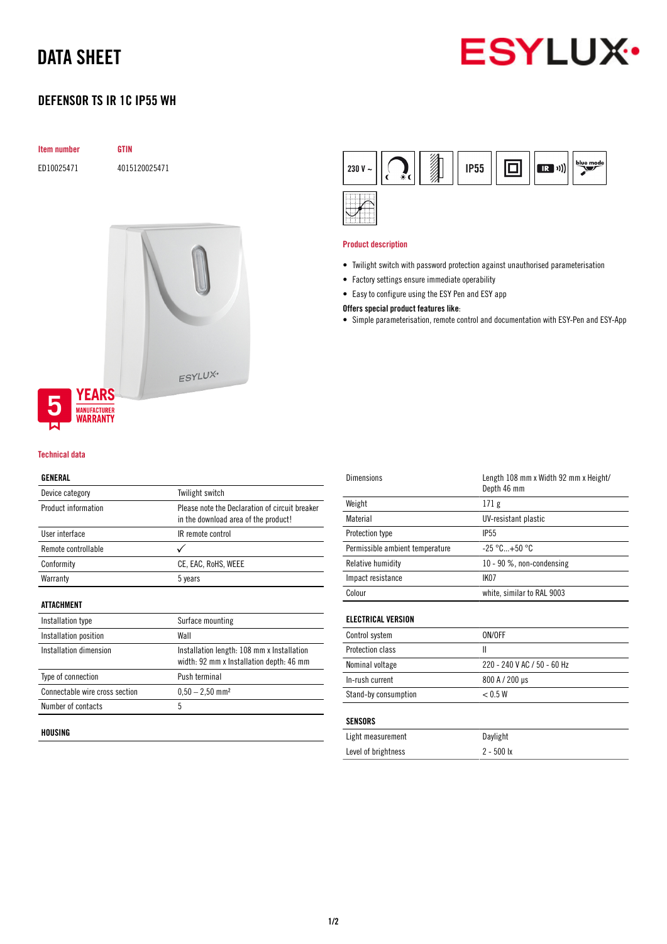# DATA SHEET



## DEFENSOR TS IR 1C IP55 WH

| <b>Item number</b> | <b>GTIN</b>   |  |
|--------------------|---------------|--|
| ED10025471         | 4015120025471 |  |
|                    |               |  |
|                    |               |  |
|                    |               |  |
|                    |               |  |
|                    |               |  |
|                    |               |  |

#### Technical data

**YEARS MANUFACTURER**<br>**WARRANTY** 

#### GENERAL

| Device category                | Twilight switch                                                                        |
|--------------------------------|----------------------------------------------------------------------------------------|
| Product information            | Please note the Declaration of circuit breaker<br>in the download area of the product! |
| User interface                 | IR remote control                                                                      |
| Remote controllable            |                                                                                        |
| Conformity                     | CE, EAC, RoHS, WEEE                                                                    |
| Warranty                       | 5 years                                                                                |
| ATTACHMENT                     |                                                                                        |
| Installation type              | Surface mounting                                                                       |
| Installation position          | Wall                                                                                   |
| Installation dimension         | Installation length: 108 mm x Installation<br>width: 92 mm x Installation depth: 46 mm |
| Type of connection             | Push terminal                                                                          |
| Connectable wire cross section | $0.50 - 2.50$ mm <sup>2</sup>                                                          |
| Number of contacts             | 5                                                                                      |
|                                |                                                                                        |

ESYLUX<sup>.</sup>

## HOUSING



#### Product description

- Twilight switch with password protection against unauthorised parameterisation
- Factory settings ensure immediate operability
- Easy to configure using the ESY Pen and ESY app
- Offers special product features like:
- Simple parameterisation, remote control and documentation with ESY-Pen and ESY-App

| Dimensions                      | Length 108 mm x Width 92 mm x Height/<br>Depth 46 mm |
|---------------------------------|------------------------------------------------------|
| Weight                          | 171 g                                                |
| Material                        | UV-resistant plastic                                 |
| Protection type                 | <b>IP55</b>                                          |
| Permissible ambient temperature | $-25 °C+50 °C$                                       |
| Relative humidity               | 10 - 90 %, non-condensing                            |
| Impact resistance               | IK <sub>07</sub>                                     |
| Colour                          | white, similar to RAL 9003                           |
|                                 |                                                      |

## ELECTRICAL VERSION

| Control system       | ON/OFF                      |
|----------------------|-----------------------------|
| Protection class     |                             |
| Nominal voltage      | 220 - 240 V AC / 50 - 60 Hz |
| In-rush current      | 800 A / 200 µs              |
| Stand-by consumption | < 0.5 W                     |

## SENSORS

| Light measurement   | Daylight     |
|---------------------|--------------|
| Level of brightness | $2 - 500$ lx |